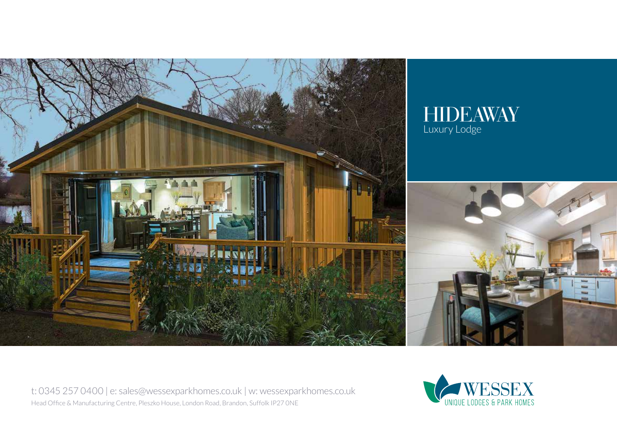

t: 0345 257 0400 | e: sales@wessexparkhomes.co.uk | w: wessexparkhomes.co.uk Head Office & Manufacturing Centre, Pleszko House, London Road, Brandon, Suffolk IP27 0NE